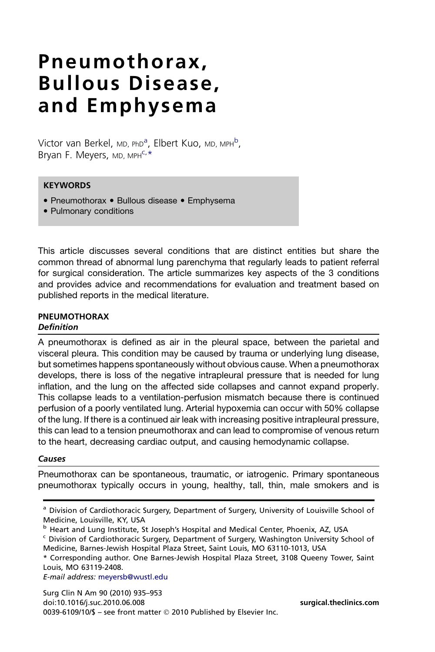# Pneumothorax, Bullous Disease, and Emphysema

Victor van Berkel, MD, PhD<sup>a</sup>, Elbert Kuo, MD, MPH<sup>b</sup>, Bryan F. Meyers, MD, MPHC,\*

# **KEYWORDS**

- Pneumothorax Bullous disease Emphysema
- Pulmonary conditions

This article discusses several conditions that are distinct entities but share the common thread of abnormal lung parenchyma that regularly leads to patient referral for surgical consideration. The article summarizes key aspects of the 3 conditions and provides advice and recommendations for evaluation and treatment based on published reports in the medical literature.

## **PNEUMOTHORAX** Definition

A pneumothorax is defined as air in the pleural space, between the parietal and visceral pleura. This condition may be caused by trauma or underlying lung disease, but sometimes happens spontaneously without obvious cause. When a pneumothorax develops, there is loss of the negative intrapleural pressure that is needed for lung inflation, and the lung on the affected side collapses and cannot expand properly. This collapse leads to a ventilation-perfusion mismatch because there is continued perfusion of a poorly ventilated lung. Arterial hypoxemia can occur with 50% collapse of the lung. If there is a continued air leak with increasing positive intrapleural pressure, this can lead to a tension pneumothorax and can lead to compromise of venous return to the heart, decreasing cardiac output, and causing hemodynamic collapse.

## Causes

Pneumothorax can be spontaneous, traumatic, or iatrogenic. Primary spontaneous pneumothorax typically occurs in young, healthy, tall, thin, male smokers and is

E-mail address: [meyersb@wustl.edu](mailto:meyersb@wustl.edu)

Surg Clin N Am 90 (2010) 935–953 doi:10.1016/j.suc.2010.06.008 [surgical.theclinics.com](http://surgical.theclinics.com) 0039-6109/10/\$ – see front matter  $\odot$  2010 Published by Elsevier Inc.

<sup>&</sup>lt;sup>a</sup> Division of Cardiothoracic Surgery, Department of Surgery, University of Louisville School of Medicine, Louisville, KY, USA

b Heart and Lung Institute, St Joseph's Hospital and Medical Center, Phoenix, AZ, USA

<sup>c</sup> Division of Cardiothoracic Surgery, Department of Surgery, Washington University School of Medicine, Barnes-Jewish Hospital Plaza Street, Saint Louis, MO 63110-1013, USA

<sup>\*</sup> Corresponding author. One Barnes-Jewish Hospital Plaza Street, 3108 Queeny Tower, Saint Louis, MO 63119-2408.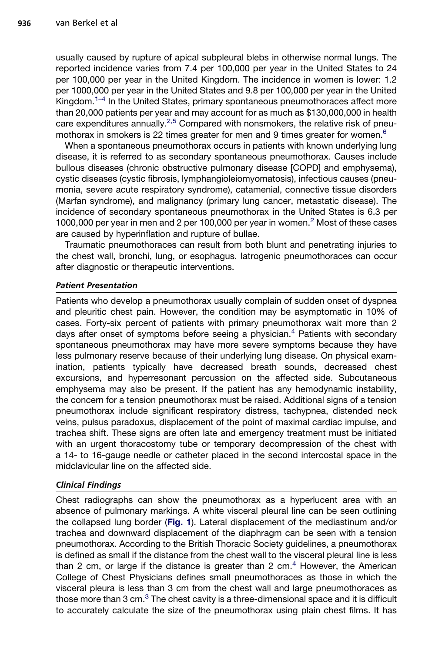usually caused by rupture of apical subpleural blebs in otherwise normal lungs. The reported incidence varies from 7.4 per 100,000 per year in the United States to 24 per 100,000 per year in the United Kingdom. The incidence in women is lower: 1.2 per 1000,000 per year in the United States and 9.8 per 100,000 per year in the United Kingdom.<sup>[1–4](#page-14-0)</sup> In the United States, primary spontaneous pneumothoraces affect more than 20,000 patients per year and may account for as much as \$130,000,000 in health care expenditures annually.<sup>[2,5](#page-14-0)</sup> Compared with nonsmokers, the relative risk of pneu-mothorax in smokers is 22 times greater for men and 9 times greater for women.<sup>[6](#page-14-0)</sup>

When a spontaneous pneumothorax occurs in patients with known underlying lung disease, it is referred to as secondary spontaneous pneumothorax. Causes include bullous diseases (chronic obstructive pulmonary disease [COPD] and emphysema), cystic diseases (cystic fibrosis, lymphangioleiomyomatosis), infectious causes (pneumonia, severe acute respiratory syndrome), catamenial, connective tissue disorders (Marfan syndrome), and malignancy (primary lung cancer, metastatic disease). The incidence of secondary spontaneous pneumothorax in the United States is 6.3 per 1000,000 per year in men and [2](#page-14-0) per 100,000 per year in women.<sup>2</sup> Most of these cases are caused by hyperinflation and rupture of bullae.

Traumatic pneumothoraces can result from both blunt and penetrating injuries to the chest wall, bronchi, lung, or esophagus. Iatrogenic pneumothoraces can occur after diagnostic or therapeutic interventions.

# Patient Presentation

Patients who develop a pneumothorax usually complain of sudden onset of dyspnea and pleuritic chest pain. However, the condition may be asymptomatic in 10% of cases. Forty-six percent of patients with primary pneumothorax wait more than 2 days after onset of symptoms before seeing a physician.<sup>[4](#page-14-0)</sup> Patients with secondary spontaneous pneumothorax may have more severe symptoms because they have less pulmonary reserve because of their underlying lung disease. On physical examination, patients typically have decreased breath sounds, decreased chest excursions, and hyperresonant percussion on the affected side. Subcutaneous emphysema may also be present. If the patient has any hemodynamic instability, the concern for a tension pneumothorax must be raised. Additional signs of a tension pneumothorax include significant respiratory distress, tachypnea, distended neck veins, pulsus paradoxus, displacement of the point of maximal cardiac impulse, and trachea shift. These signs are often late and emergency treatment must be initiated with an urgent thoracostomy tube or temporary decompression of the chest with a 14- to 16-gauge needle or catheter placed in the second intercostal space in the midclavicular line on the affected side.

## Clinical Findings

Chest radiographs can show the pneumothorax as a hyperlucent area with an absence of pulmonary markings. A white visceral pleural line can be seen outlining the collapsed lung border ([Fig. 1](#page-2-0)). Lateral displacement of the mediastinum and/or trachea and downward displacement of the diaphragm can be seen with a tension pneumothorax. According to the British Thoracic Society guidelines, a pneumothorax is defined as small if the distance from the chest wall to the visceral pleural line is less than 2 cm, or large if the distance is greater than 2 cm.<sup>4</sup> However, the American College of Chest Physicians defines small pneumothoraces as those in which the visceral pleura is less than 3 cm from the chest wall and large pneumothoraces as those more than [3](#page-14-0) cm.<sup>3</sup> The chest cavity is a three-dimensional space and it is difficult to accurately calculate the size of the pneumothorax using plain chest films. It has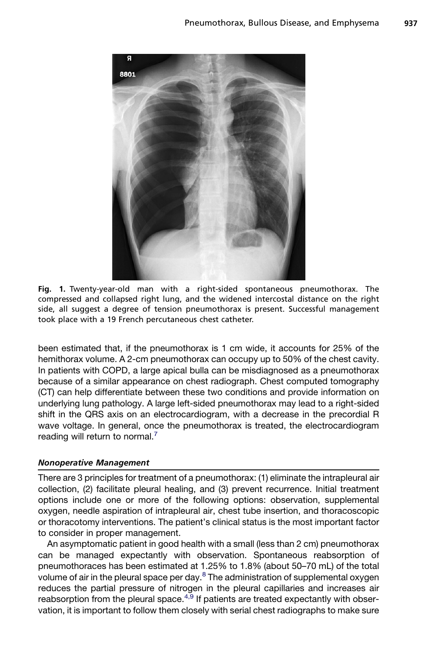<span id="page-2-0"></span>

Fig. 1. Twenty-year-old man with a right-sided spontaneous pneumothorax. The compressed and collapsed right lung, and the widened intercostal distance on the right side, all suggest a degree of tension pneumothorax is present. Successful management took place with a 19 French percutaneous chest catheter.

been estimated that, if the pneumothorax is 1 cm wide, it accounts for 25% of the hemithorax volume. A 2-cm pneumothorax can occupy up to 50% of the chest cavity. In patients with COPD, a large apical bulla can be misdiagnosed as a pneumothorax because of a similar appearance on chest radiograph. Chest computed tomography (CT) can help differentiate between these two conditions and provide information on underlying lung pathology. A large left-sided pneumothorax may lead to a right-sided shift in the QRS axis on an electrocardiogram, with a decrease in the precordial R wave voltage. In general, once the pneumothorax is treated, the electrocardiogram reading will return to normal. $<sup>7</sup>$  $<sup>7</sup>$  $<sup>7</sup>$ </sup>

## Nonoperative Management

There are 3 principles for treatment of a pneumothorax: (1) eliminate the intrapleural air collection, (2) facilitate pleural healing, and (3) prevent recurrence. Initial treatment options include one or more of the following options: observation, supplemental oxygen, needle aspiration of intrapleural air, chest tube insertion, and thoracoscopic or thoracotomy interventions. The patient's clinical status is the most important factor to consider in proper management.

An asymptomatic patient in good health with a small (less than 2 cm) pneumothorax can be managed expectantly with observation. Spontaneous reabsorption of pneumothoraces has been estimated at 1.25% to 1.8% (about 50–70 mL) of the total volume of air in the pleural space per day.<sup>[8](#page-14-0)</sup> The administration of supplemental oxygen reduces the partial pressure of nitrogen in the pleural capillaries and increases air reabsorption from the pleural space. $4,9$  If patients are treated expectantly with observation, it is important to follow them closely with serial chest radiographs to make sure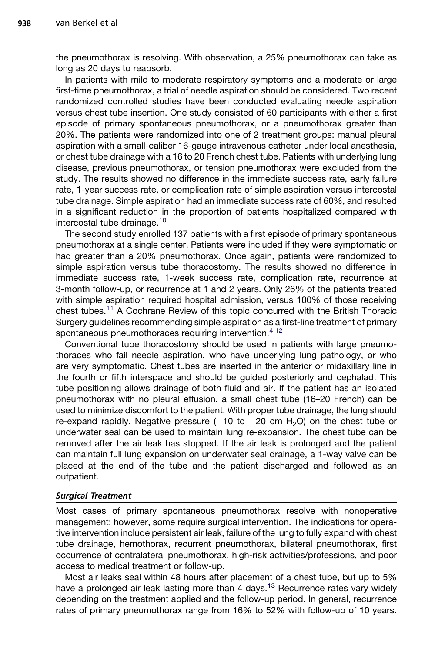the pneumothorax is resolving. With observation, a 25% pneumothorax can take as long as 20 days to reabsorb.

In patients with mild to moderate respiratory symptoms and a moderate or large first-time pneumothorax, a trial of needle aspiration should be considered. Two recent randomized controlled studies have been conducted evaluating needle aspiration versus chest tube insertion. One study consisted of 60 participants with either a first episode of primary spontaneous pneumothorax, or a pneumothorax greater than 20%. The patients were randomized into one of 2 treatment groups: manual pleural aspiration with a small-caliber 16-gauge intravenous catheter under local anesthesia, or chest tube drainage with a 16 to 20 French chest tube. Patients with underlying lung disease, previous pneumothorax, or tension pneumothorax were excluded from the study. The results showed no difference in the immediate success rate, early failure rate, 1-year success rate, or complication rate of simple aspiration versus intercostal tube drainage. Simple aspiration had an immediate success rate of 60%, and resulted in a significant reduction in the proportion of patients hospitalized compared with intercostal tube drainage.[10](#page-14-0)

The second study enrolled 137 patients with a first episode of primary spontaneous pneumothorax at a single center. Patients were included if they were symptomatic or had greater than a 20% pneumothorax. Once again, patients were randomized to simple aspiration versus tube thoracostomy. The results showed no difference in immediate success rate, 1-week success rate, complication rate, recurrence at 3-month follow-up, or recurrence at 1 and 2 years. Only 26% of the patients treated with simple aspiration required hospital admission, versus 100% of those receiving chest tubes.[11](#page-14-0) A Cochrane Review of this topic concurred with the British Thoracic Surgery guidelines recommending simple aspiration as a first-line treatment of primary spontaneous pneumothoraces requiring intervention.<sup>[4,12](#page-14-0)</sup>

Conventional tube thoracostomy should be used in patients with large pneumothoraces who fail needle aspiration, who have underlying lung pathology, or who are very symptomatic. Chest tubes are inserted in the anterior or midaxillary line in the fourth or fifth interspace and should be guided posteriorly and cephalad. This tube positioning allows drainage of both fluid and air. If the patient has an isolated pneumothorax with no pleural effusion, a small chest tube (16–20 French) can be used to minimize discomfort to the patient. With proper tube drainage, the lung should re-expand rapidly. Negative pressure  $(-10$  to  $-20$  cm  $H_2O$ ) on the chest tube or underwater seal can be used to maintain lung re-expansion. The chest tube can be removed after the air leak has stopped. If the air leak is prolonged and the patient can maintain full lung expansion on underwater seal drainage, a 1-way valve can be placed at the end of the tube and the patient discharged and followed as an outpatient.

# Surgical Treatment

Most cases of primary spontaneous pneumothorax resolve with nonoperative management; however, some require surgical intervention. The indications for operative intervention include persistent air leak, failure of the lung to fully expand with chest tube drainage, hemothorax, recurrent pneumothorax, bilateral pneumothorax, first occurrence of contralateral pneumothorax, high-risk activities/professions, and poor access to medical treatment or follow-up.

Most air leaks seal within 48 hours after placement of a chest tube, but up to 5% have a prolonged air leak lasting more than 4 days.<sup>[13](#page-14-0)</sup> Recurrence rates vary widely depending on the treatment applied and the follow-up period. In general, recurrence rates of primary pneumothorax range from 16% to 52% with follow-up of 10 years.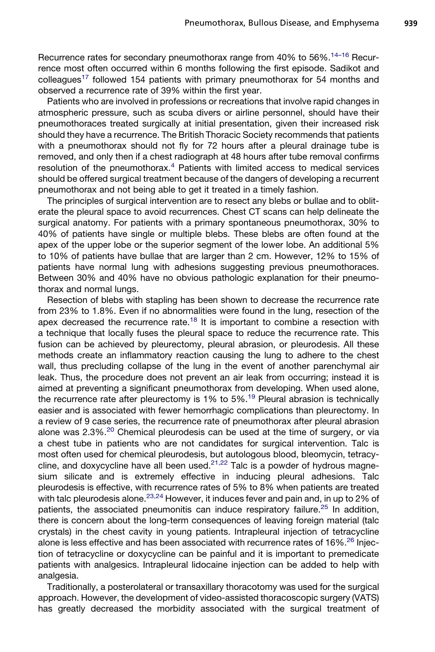Recurrence rates for secondary pneumothorax range from 40% to 56%.<sup>14–16</sup> Recurrence most often occurred within 6 months following the first episode. Sadikot and colleagues<sup>[17](#page-15-0)</sup> followed 154 patients with primary pneumothorax for 54 months and observed a recurrence rate of 39% within the first year.

Patients who are involved in professions or recreations that involve rapid changes in atmospheric pressure, such as scuba divers or airline personnel, should have their pneumothoraces treated surgically at initial presentation, given their increased risk should they have a recurrence. The British Thoracic Society recommends that patients with a pneumothorax should not fly for 72 hours after a pleural drainage tube is removed, and only then if a chest radiograph at 48 hours after tube removal confirms resolution of the pneumothorax.[4](#page-14-0) Patients with limited access to medical services should be offered surgical treatment because of the dangers of developing a recurrent pneumothorax and not being able to get it treated in a timely fashion.

The principles of surgical intervention are to resect any blebs or bullae and to obliterate the pleural space to avoid recurrences. Chest CT scans can help delineate the surgical anatomy. For patients with a primary spontaneous pneumothorax, 30% to 40% of patients have single or multiple blebs. These blebs are often found at the apex of the upper lobe or the superior segment of the lower lobe. An additional 5% to 10% of patients have bullae that are larger than 2 cm. However, 12% to 15% of patients have normal lung with adhesions suggesting previous pneumothoraces. Between 30% and 40% have no obvious pathologic explanation for their pneumothorax and normal lungs.

Resection of blebs with stapling has been shown to decrease the recurrence rate from 23% to 1.8%. Even if no abnormalities were found in the lung, resection of the apex decreased the recurrence rate.<sup>[18](#page-15-0)</sup> It is important to combine a resection with a technique that locally fuses the pleural space to reduce the recurrence rate. This fusion can be achieved by pleurectomy, pleural abrasion, or pleurodesis. All these methods create an inflammatory reaction causing the lung to adhere to the chest wall, thus precluding collapse of the lung in the event of another parenchymal air leak. Thus, the procedure does not prevent an air leak from occurring; instead it is aimed at preventing a significant pneumothorax from developing. When used alone, the recurrence rate after pleurectomy is 1% to  $5\%$ .<sup>19</sup> Pleural abrasion is technically easier and is associated with fewer hemorrhagic complications than pleurectomy. In a review of 9 case series, the recurrence rate of pneumothorax after pleural abrasion alone was  $2.3\%$ <sup>[20](#page-15-0)</sup> Chemical pleurodesis can be used at the time of surgery, or via a chest tube in patients who are not candidates for surgical intervention. Talc is most often used for chemical pleurodesis, but autologous blood, bleomycin, tetracycline, and doxycycline have all been used.<sup>21,22</sup> Talc is a powder of hydrous magnesium silicate and is extremely effective in inducing pleural adhesions. Talc pleurodesis is effective, with recurrence rates of 5% to 8% when patients are treated with talc pleurodesis alone.  $23,24$  However, it induces fever and pain and, in up to 2% of patients, the associated pneumonitis can induce respiratory failure.<sup>[25](#page-15-0)</sup> In addition, there is concern about the long-term consequences of leaving foreign material (talc crystals) in the chest cavity in young patients. Intrapleural injection of tetracycline alone is less effective and has been associated with recurrence rates of 16%.<sup>[26](#page-15-0)</sup> Injection of tetracycline or doxycycline can be painful and it is important to premedicate patients with analgesics. Intrapleural lidocaine injection can be added to help with analgesia.

Traditionally, a posterolateral or transaxillary thoracotomy was used for the surgical approach. However, the development of video-assisted thoracoscopic surgery (VATS) has greatly decreased the morbidity associated with the surgical treatment of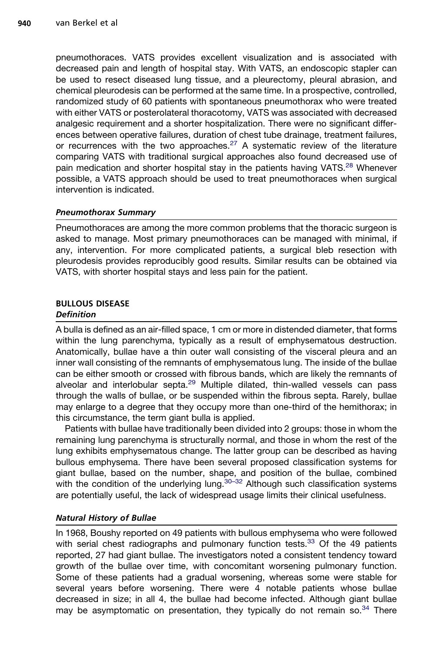pneumothoraces. VATS provides excellent visualization and is associated with decreased pain and length of hospital stay. With VATS, an endoscopic stapler can be used to resect diseased lung tissue, and a pleurectomy, pleural abrasion, and chemical pleurodesis can be performed at the same time. In a prospective, controlled, randomized study of 60 patients with spontaneous pneumothorax who were treated with either VATS or posterolateral thoracotomy, VATS was associated with decreased analgesic requirement and a shorter hospitalization. There were no significant differences between operative failures, duration of chest tube drainage, treatment failures, or recurrences with the two approaches.<sup>[27](#page-15-0)</sup> A systematic review of the literature comparing VATS with traditional surgical approaches also found decreased use of pain medication and shorter hospital stay in the patients having VATS.<sup>[28](#page-15-0)</sup> Whenever possible, a VATS approach should be used to treat pneumothoraces when surgical intervention is indicated.

# Pneumothorax Summary

Pneumothoraces are among the more common problems that the thoracic surgeon is asked to manage. Most primary pneumothoraces can be managed with minimal, if any, intervention. For more complicated patients, a surgical bleb resection with pleurodesis provides reproducibly good results. Similar results can be obtained via VATS, with shorter hospital stays and less pain for the patient.

## BULLOUS DISEASE Definition

A bulla is defined as an air-filled space, 1 cm or more in distended diameter, that forms within the lung parenchyma, typically as a result of emphysematous destruction. Anatomically, bullae have a thin outer wall consisting of the visceral pleura and an inner wall consisting of the remnants of emphysematous lung. The inside of the bullae can be either smooth or crossed with fibrous bands, which are likely the remnants of alveolar and interlobular septa. $29$  Multiple dilated, thin-walled vessels can pass through the walls of bullae, or be suspended within the fibrous septa. Rarely, bullae may enlarge to a degree that they occupy more than one-third of the hemithorax; in this circumstance, the term giant bulla is applied.

Patients with bullae have traditionally been divided into 2 groups: those in whom the remaining lung parenchyma is structurally normal, and those in whom the rest of the lung exhibits emphysematous change. The latter group can be described as having bullous emphysema. There have been several proposed classification systems for giant bullae, based on the number, shape, and position of the bullae, combined with the condition of the underlying lung.<sup>[30–32](#page-15-0)</sup> Although such classification systems are potentially useful, the lack of widespread usage limits their clinical usefulness.

# Natural History of Bullae

In 1968, Boushy reported on 49 patients with bullous emphysema who were followed with serial chest radiographs and pulmonary function tests.<sup>[33](#page-15-0)</sup> Of the 49 patients reported, 27 had giant bullae. The investigators noted a consistent tendency toward growth of the bullae over time, with concomitant worsening pulmonary function. Some of these patients had a gradual worsening, whereas some were stable for several years before worsening. There were 4 notable patients whose bullae decreased in size; in all 4, the bullae had become infected. Although giant bullae may be asymptomatic on presentation, they typically do not remain so.<sup>[34](#page-15-0)</sup> There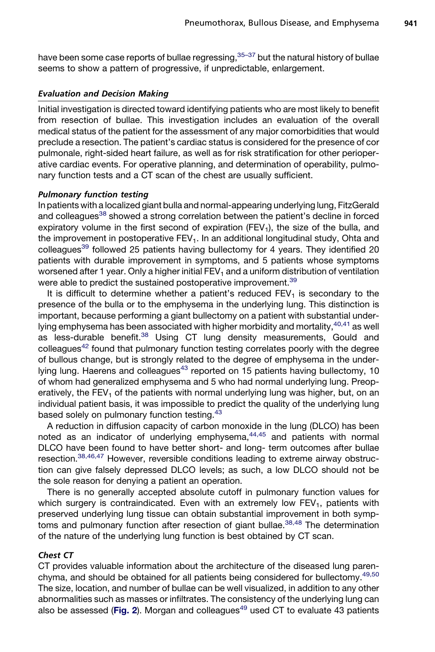have been some case reports of bullae regressing, $35-37$  but the natural history of bullae seems to show a pattern of progressive, if unpredictable, enlargement.

#### Evaluation and Decision Making

Initial investigation is directed toward identifying patients who are most likely to benefit from resection of bullae. This investigation includes an evaluation of the overall medical status of the patient for the assessment of any major comorbidities that would preclude a resection. The patient's cardiac status is considered for the presence of cor pulmonale, right-sided heart failure, as well as for risk stratification for other perioperative cardiac events. For operative planning, and determination of operability, pulmonary function tests and a CT scan of the chest are usually sufficient.

#### Pulmonary function testing

In patients with a localized giant bulla and normal-appearing underlying lung, FitzGerald and colleagues<sup>[38](#page-16-0)</sup> showed a strong correlation between the patient's decline in forced expiratory volume in the first second of expiration  $(FEV<sub>1</sub>)$ , the size of the bulla, and the improvement in postoperative FEV<sub>1</sub>. In an additional longitudinal study, Ohta and colleagues<sup>[39](#page-16-0)</sup> followed 25 patients having bullectomy for 4 years. They identified 20 patients with durable improvement in symptoms, and 5 patients whose symptoms worsened after 1 year. Only a higher initial FEV<sub>1</sub> and a uniform distribution of ventilation were able to predict the sustained postoperative improvement.<sup>[39](#page-16-0)</sup>

It is difficult to determine whether a patient's reduced  $FEV<sub>1</sub>$  is secondary to the presence of the bulla or to the emphysema in the underlying lung. This distinction is important, because performing a giant bullectomy on a patient with substantial under-lying emphysema has been associated with higher morbidity and mortality, <sup>[40,41](#page-16-0)</sup> as well as less-durable benefit.<sup>[38](#page-16-0)</sup> Using CT lung density measurements, Gould and  $\text{colleagues}^{42}$  $\text{colleagues}^{42}$  $\text{colleagues}^{42}$  found that pulmonary function testing correlates poorly with the degree of bullous change, but is strongly related to the degree of emphysema in the under-lying lung. Haerens and colleagues<sup>[43](#page-16-0)</sup> reported on 15 patients having bullectomy, 10 of whom had generalized emphysema and 5 who had normal underlying lung. Preoperatively, the  $FEV<sub>1</sub>$  of the patients with normal underlying lung was higher, but, on an individual patient basis, it was impossible to predict the quality of the underlying lung based solely on pulmonary function testing.<sup>[43](#page-16-0)</sup>

A reduction in diffusion capacity of carbon monoxide in the lung (DLCO) has been noted as an indicator of underlying emphysema,<sup>[44,45](#page-16-0)</sup> and patients with normal DLCO have been found to have better short- and long- term outcomes after bullae resection.<sup>[38,46,47](#page-16-0)</sup> However, reversible conditions leading to extreme airway obstruction can give falsely depressed DLCO levels; as such, a low DLCO should not be the sole reason for denying a patient an operation.

There is no generally accepted absolute cutoff in pulmonary function values for which surgery is contraindicated. Even with an extremely low  $FEV<sub>1</sub>$ , patients with preserved underlying lung tissue can obtain substantial improvement in both symptoms and pulmonary function after resection of giant bullae.  $38,48$  The determination of the nature of the underlying lung function is best obtained by CT scan.

# Chest CT

CT provides valuable information about the architecture of the diseased lung paren-chyma, and should be obtained for all patients being considered for bullectomy.<sup>[49,50](#page-16-0)</sup> The size, location, and number of bullae can be well visualized, in addition to any other abnormalities such as masses or infiltrates. The consistency of the underlying lung can also be assessed ([Fig. 2](#page-7-0)). Morgan and colleagues<sup>[49](#page-16-0)</sup> used CT to evaluate 43 patients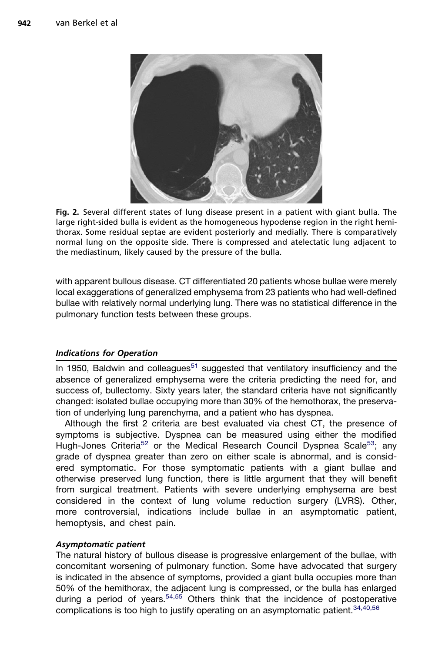<span id="page-7-0"></span>

Fig. 2. Several different states of lung disease present in a patient with giant bulla. The large right-sided bulla is evident as the homogeneous hypodense region in the right hemithorax. Some residual septae are evident posteriorly and medially. There is comparatively normal lung on the opposite side. There is compressed and atelectatic lung adjacent to the mediastinum, likely caused by the pressure of the bulla.

with apparent bullous disease. CT differentiated 20 patients whose bullae were merely local exaggerations of generalized emphysema from 23 patients who had well-defined bullae with relatively normal underlying lung. There was no statistical difference in the pulmonary function tests between these groups.

# Indications for Operation

In 1950, Baldwin and colleagues<sup>[51](#page-16-0)</sup> suggested that ventilatory insufficiency and the absence of generalized emphysema were the criteria predicting the need for, and success of, bullectomy. Sixty years later, the standard criteria have not significantly changed: isolated bullae occupying more than 30% of the hemothorax, the preservation of underlying lung parenchyma, and a patient who has dyspnea.

Although the first 2 criteria are best evaluated via chest CT, the presence of symptoms is subjective. Dyspnea can be measured using either the modified Hugh-Jones Criteria<sup>[52](#page-16-0)</sup> or the Medical Research Council Dyspnea Scale<sup>[53](#page-16-0)</sup>; any grade of dyspnea greater than zero on either scale is abnormal, and is considered symptomatic. For those symptomatic patients with a giant bullae and otherwise preserved lung function, there is little argument that they will benefit from surgical treatment. Patients with severe underlying emphysema are best considered in the context of lung volume reduction surgery (LVRS). Other, more controversial, indications include bullae in an asymptomatic patient, hemoptysis, and chest pain.

## Asymptomatic patient

The natural history of bullous disease is progressive enlargement of the bullae, with concomitant worsening of pulmonary function. Some have advocated that surgery is indicated in the absence of symptoms, provided a giant bulla occupies more than 50% of the hemithorax, the adjacent lung is compressed, or the bulla has enlarged during a period of years.<sup>54,55</sup> Others think that the incidence of postoperative complications is too high to justify operating on an asymptomatic patient. $34,40,56$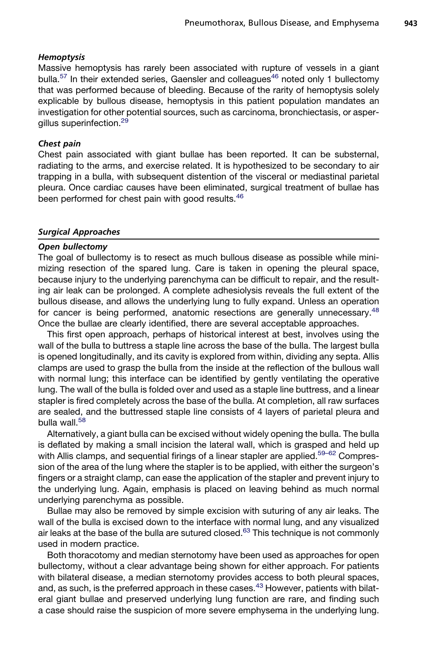#### **Hemoptysis**

Massive hemoptysis has rarely been associated with rupture of vessels in a giant bulla.<sup>57</sup> In their extended series, Gaensler and colleagues<sup>[46](#page-16-0)</sup> noted only 1 bullectomy that was performed because of bleeding. Because of the rarity of hemoptysis solely explicable by bullous disease, hemoptysis in this patient population mandates an investigation for other potential sources, such as carcinoma, bronchiectasis, or asper-gillus superinfection.<sup>[29](#page-15-0)</sup>

## Chest pain

Chest pain associated with giant bullae has been reported. It can be substernal, radiating to the arms, and exercise related. It is hypothesized to be secondary to air trapping in a bulla, with subsequent distention of the visceral or mediastinal parietal pleura. Once cardiac causes have been eliminated, surgical treatment of bullae has been performed for chest pain with good results.<sup>[46](#page-16-0)</sup>

## Surgical Approaches

## Open bullectomy

The goal of bullectomy is to resect as much bullous disease as possible while minimizing resection of the spared lung. Care is taken in opening the pleural space, because injury to the underlying parenchyma can be difficult to repair, and the resulting air leak can be prolonged. A complete adhesiolysis reveals the full extent of the bullous disease, and allows the underlying lung to fully expand. Unless an operation for cancer is being performed, anatomic resections are generally unnecessary.<sup>[48](#page-16-0)</sup> Once the bullae are clearly identified, there are several acceptable approaches.

This first open approach, perhaps of historical interest at best, involves using the wall of the bulla to buttress a staple line across the base of the bulla. The largest bulla is opened longitudinally, and its cavity is explored from within, dividing any septa. Allis clamps are used to grasp the bulla from the inside at the reflection of the bullous wall with normal lung; this interface can be identified by gently ventilating the operative lung. The wall of the bulla is folded over and used as a staple line buttress, and a linear stapler is fired completely across the base of the bulla. At completion, all raw surfaces are sealed, and the buttressed staple line consists of 4 layers of parietal pleura and bulla wall<sup>[58](#page-16-0)</sup>

Alternatively, a giant bulla can be excised without widely opening the bulla. The bulla is deflated by making a small incision the lateral wall, which is grasped and held up with Allis clamps, and sequential firings of a linear stapler are applied.<sup>[59–62](#page-16-0)</sup> Compression of the area of the lung where the stapler is to be applied, with either the surgeon's fingers or a straight clamp, can ease the application of the stapler and prevent injury to the underlying lung. Again, emphasis is placed on leaving behind as much normal underlying parenchyma as possible.

Bullae may also be removed by simple excision with suturing of any air leaks. The wall of the bulla is excised down to the interface with normal lung, and any visualized air leaks at the base of the bulla are sutured closed. $63$  This technique is not commonly used in modern practice.

Both thoracotomy and median sternotomy have been used as approaches for open bullectomy, without a clear advantage being shown for either approach. For patients with bilateral disease, a median sternotomy provides access to both pleural spaces, and, as such, is the preferred approach in these cases.<sup>[43](#page-16-0)</sup> However, patients with bilateral giant bullae and preserved underlying lung function are rare, and finding such a case should raise the suspicion of more severe emphysema in the underlying lung.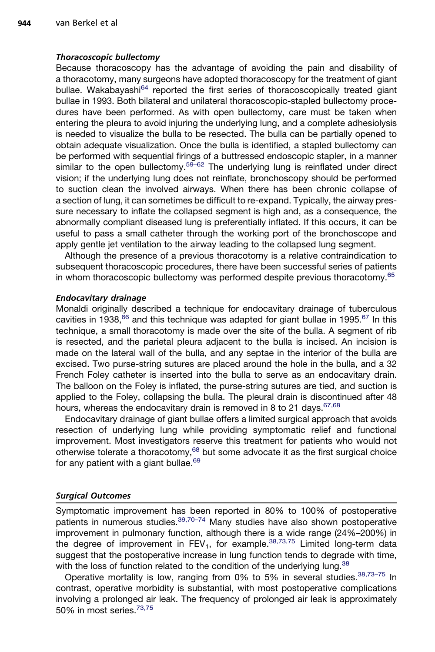#### Thoracoscopic bullectomy

Because thoracoscopy has the advantage of avoiding the pain and disability of a thoracotomy, many surgeons have adopted thoracoscopy for the treatment of giant bullae. Wakabayashi<sup>[64](#page-17-0)</sup> reported the first series of thoracoscopically treated giant bullae in 1993. Both bilateral and unilateral thoracoscopic-stapled bullectomy procedures have been performed. As with open bullectomy, care must be taken when entering the pleura to avoid injuring the underlying lung, and a complete adhesiolysis is needed to visualize the bulla to be resected. The bulla can be partially opened to obtain adequate visualization. Once the bulla is identified, a stapled bullectomy can be performed with sequential firings of a buttressed endoscopic stapler, in a manner similar to the open bullectomy.<sup>59-62</sup> The underlying lung is reinflated under direct vision; if the underlying lung does not reinflate, bronchoscopy should be performed to suction clean the involved airways. When there has been chronic collapse of a section of lung, it can sometimes be difficult to re-expand. Typically, the airway pressure necessary to inflate the collapsed segment is high and, as a consequence, the abnormally compliant diseased lung is preferentially inflated. If this occurs, it can be useful to pass a small catheter through the working port of the bronchoscope and apply gentle jet ventilation to the airway leading to the collapsed lung segment.

Although the presence of a previous thoracotomy is a relative contraindication to subsequent thoracoscopic procedures, there have been successful series of patients in whom thoracoscopic bullectomy was performed despite previous thoracotomy.<sup>[65](#page-17-0)</sup>

#### Endocavitary drainage

Monaldi originally described a technique for endocavitary drainage of tuberculous cavities in 1938, $66$  and this technique was adapted for giant bullae in 1995. $67$  In this technique, a small thoracotomy is made over the site of the bulla. A segment of rib is resected, and the parietal pleura adjacent to the bulla is incised. An incision is made on the lateral wall of the bulla, and any septae in the interior of the bulla are excised. Two purse-string sutures are placed around the hole in the bulla, and a 32 French Foley catheter is inserted into the bulla to serve as an endocavitary drain. The balloon on the Foley is inflated, the purse-string sutures are tied, and suction is applied to the Foley, collapsing the bulla. The pleural drain is discontinued after 48 hours, whereas the endocavitary drain is removed in 8 to 21 days.  $67,68$ 

Endocavitary drainage of giant bullae offers a limited surgical approach that avoids resection of underlying lung while providing symptomatic relief and functional improvement. Most investigators reserve this treatment for patients who would not otherwise tolerate a thoracotomy,<sup>[68](#page-17-0)</sup> but some advocate it as the first surgical choice for any patient with a giant bullae. $69$ 

#### Surgical Outcomes

Symptomatic improvement has been reported in 80% to 100% of postoperative patients in numerous studies.[39,70–74](#page-16-0) Many studies have also shown postoperative improvement in pulmonary function, although there is a wide range (24%–200%) in the degree of improvement in FEV<sub>1</sub>, for example.<sup>[38,73,75](#page-16-0)</sup> Limited long-term data suggest that the postoperative increase in lung function tends to degrade with time, with the loss of function related to the condition of the underlying lung.<sup>[38](#page-16-0)</sup>

Operative mortality is low, ranging from 0% to 5% in several studies.  $38,73-75$  In contrast, operative morbidity is substantial, with most postoperative complications involving a prolonged air leak. The frequency of prolonged air leak is approximately 50% in most series.[73,75](#page-17-0)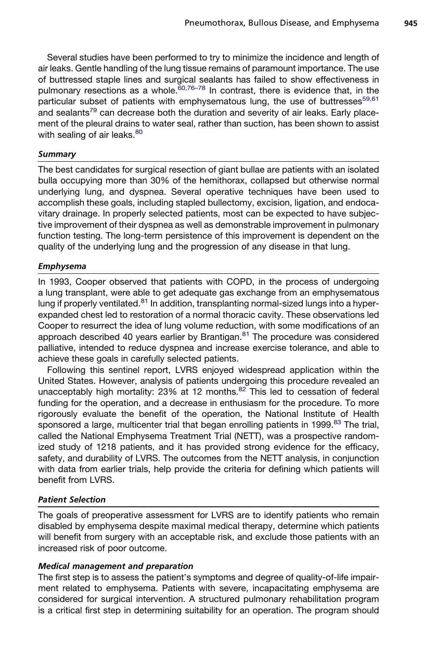Several studies have been performed to try to minimize the incidence and length of air leaks. Gentle handling of the lung tissue remains of paramount importance. The use of buttressed staple lines and surgical sealants has failed to show effectiveness in pulmonary resections as a whole. $60,76-78$  In contrast, there is evidence that, in the particular subset of patients with emphysematous lung, the use of buttresses $59,61$ and sealants<sup>[79](#page-17-0)</sup> can decrease both the duration and severity of air leaks. Early placement of the pleural drains to water seal, rather than suction, has been shown to assist with sealing of air leaks.<sup>[80](#page-18-0)</sup>

#### Summary

The best candidates for surgical resection of giant bullae are patients with an isolated bulla occupying more than 30% of the hemithorax, collapsed but otherwise normal underlying lung, and dyspnea. Several operative techniques have been used to accomplish these goals, including stapled bullectomy, excision, ligation, and endocavitary drainage. In properly selected patients, most can be expected to have subjective improvement of their dyspnea as well as demonstrable improvement in pulmonary function testing. The long-term persistence of this improvement is dependent on the quality of the underlying lung and the progression of any disease in that lung.

#### Emphysema

In 1993, Cooper observed that patients with COPD, in the process of undergoing a lung transplant, were able to get adequate gas exchange from an emphysematous lung if properly ventilated.<sup>[81](#page-18-0)</sup> In addition, transplanting normal-sized lungs into a hyperexpanded chest led to restoration of a normal thoracic cavity. These observations led Cooper to resurrect the idea of lung volume reduction, with some modifications of an approach described 40 years earlier by Brantigan.<sup>[81](#page-18-0)</sup> The procedure was considered palliative, intended to reduce dyspnea and increase exercise tolerance, and able to achieve these goals in carefully selected patients.

Following this sentinel report, LVRS enjoyed widespread application within the United States. However, analysis of patients undergoing this procedure revealed an unacceptably high mortality: 23% at 12 months.<sup>[82](#page-18-0)</sup> This led to cessation of federal funding for the operation, and a decrease in enthusiasm for the procedure. To more rigorously evaluate the benefit of the operation, the National Institute of Health sponsored a large, multicenter trial that began enrolling patients in 1999. $^{83}$  $^{83}$  $^{83}$  The trial, called the National Emphysema Treatment Trial (NETT), was a prospective randomized study of 1218 patients, and it has provided strong evidence for the efficacy, safety, and durability of LVRS. The outcomes from the NETT analysis, in conjunction with data from earlier trials, help provide the criteria for defining which patients will benefit from LVRS.

#### Patient Selection

The goals of preoperative assessment for LVRS are to identify patients who remain disabled by emphysema despite maximal medical therapy, determine which patients will benefit from surgery with an acceptable risk, and exclude those patients with an increased risk of poor outcome.

## Medical management and preparation

The first step is to assess the patient's symptoms and degree of quality-of-life impairment related to emphysema. Patients with severe, incapacitating emphysema are considered for surgical intervention. A structured pulmonary rehabilitation program is a critical first step in determining suitability for an operation. The program should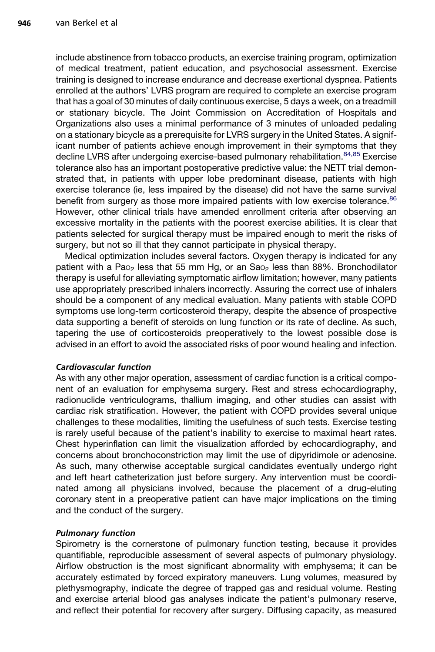include abstinence from tobacco products, an exercise training program, optimization of medical treatment, patient education, and psychosocial assessment. Exercise training is designed to increase endurance and decrease exertional dyspnea. Patients enrolled at the authors' LVRS program are required to complete an exercise program that has a goal of 30 minutes of daily continuous exercise, 5 days a week, on a treadmill or stationary bicycle. The Joint Commission on Accreditation of Hospitals and Organizations also uses a minimal performance of 3 minutes of unloaded pedaling on a stationary bicycle as a prerequisite for LVRS surgery in the United States. A significant number of patients achieve enough improvement in their symptoms that they decline LVRS after undergoing exercise-based pulmonary rehabilitation.<sup>[84,85](#page-18-0)</sup> Exercise tolerance also has an important postoperative predictive value: the NETT trial demonstrated that, in patients with upper lobe predominant disease, patients with high exercise tolerance (ie, less impaired by the disease) did not have the same survival benefit from surgery as those more impaired patients with low exercise tolerance.<sup>[86](#page-18-0)</sup> However, other clinical trials have amended enrollment criteria after observing an excessive mortality in the patients with the poorest exercise abilities. It is clear that patients selected for surgical therapy must be impaired enough to merit the risks of surgery, but not so ill that they cannot participate in physical therapy.

Medical optimization includes several factors. Oxygen therapy is indicated for any patient with a Pao<sub>2</sub> less that 55 mm Hg, or an Sao<sub>2</sub> less than 88%. Bronchodilator therapy is useful for alleviating symptomatic airflow limitation; however, many patients use appropriately prescribed inhalers incorrectly. Assuring the correct use of inhalers should be a component of any medical evaluation. Many patients with stable COPD symptoms use long-term corticosteroid therapy, despite the absence of prospective data supporting a benefit of steroids on lung function or its rate of decline. As such, tapering the use of corticosteroids preoperatively to the lowest possible dose is advised in an effort to avoid the associated risks of poor wound healing and infection.

#### Cardiovascular function

As with any other major operation, assessment of cardiac function is a critical component of an evaluation for emphysema surgery. Rest and stress echocardiography, radionuclide ventriculograms, thallium imaging, and other studies can assist with cardiac risk stratification. However, the patient with COPD provides several unique challenges to these modalities, limiting the usefulness of such tests. Exercise testing is rarely useful because of the patient's inability to exercise to maximal heart rates. Chest hyperinflation can limit the visualization afforded by echocardiography, and concerns about bronchoconstriction may limit the use of dipyridimole or adenosine. As such, many otherwise acceptable surgical candidates eventually undergo right and left heart catheterization just before surgery. Any intervention must be coordinated among all physicians involved, because the placement of a drug-eluting coronary stent in a preoperative patient can have major implications on the timing and the conduct of the surgery.

#### Pulmonary function

Spirometry is the cornerstone of pulmonary function testing, because it provides quantifiable, reproducible assessment of several aspects of pulmonary physiology. Airflow obstruction is the most significant abnormality with emphysema; it can be accurately estimated by forced expiratory maneuvers. Lung volumes, measured by plethysmography, indicate the degree of trapped gas and residual volume. Resting and exercise arterial blood gas analyses indicate the patient's pulmonary reserve, and reflect their potential for recovery after surgery. Diffusing capacity, as measured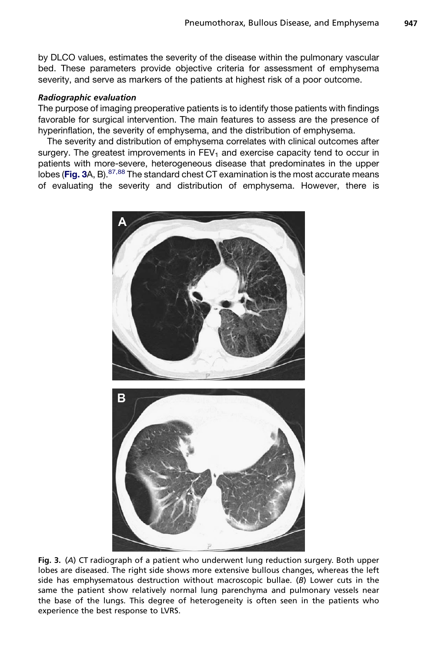by DLCO values, estimates the severity of the disease within the pulmonary vascular bed. These parameters provide objective criteria for assessment of emphysema severity, and serve as markers of the patients at highest risk of a poor outcome.

## Radiographic evaluation

The purpose of imaging preoperative patients is to identify those patients with findings favorable for surgical intervention. The main features to assess are the presence of hyperinflation, the severity of emphysema, and the distribution of emphysema.

The severity and distribution of emphysema correlates with clinical outcomes after surgery. The greatest improvements in  $FEV<sub>1</sub>$  and exercise capacity tend to occur in patients with more-severe, heterogeneous disease that predominates in the upper lobes (Fig. 3A, B).<sup>87,88</sup> The standard chest CT examination is the most accurate means of evaluating the severity and distribution of emphysema. However, there is



Fig. 3. (A) CT radiograph of a patient who underwent lung reduction surgery. Both upper lobes are diseased. The right side shows more extensive bullous changes, whereas the left side has emphysematous destruction without macroscopic bullae. (B) Lower cuts in the same the patient show relatively normal lung parenchyma and pulmonary vessels near the base of the lungs. This degree of heterogeneity is often seen in the patients who experience the best response to LVRS.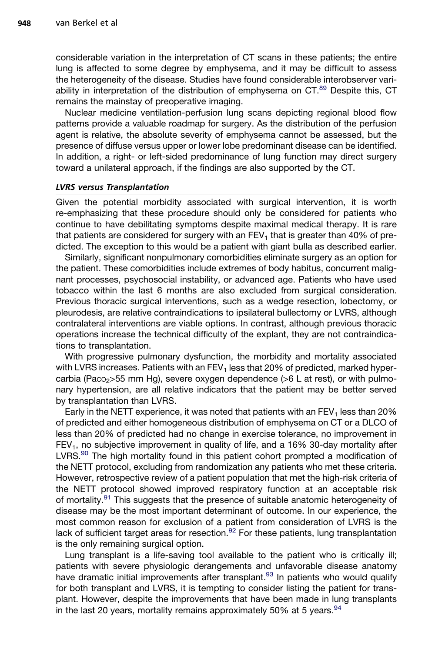considerable variation in the interpretation of CT scans in these patients; the entire lung is affected to some degree by emphysema, and it may be difficult to assess the heterogeneity of the disease. Studies have found considerable interobserver vari-ability in interpretation of the distribution of emphysema on CT.<sup>[89](#page-18-0)</sup> Despite this, CT remains the mainstay of preoperative imaging.

Nuclear medicine ventilation-perfusion lung scans depicting regional blood flow patterns provide a valuable roadmap for surgery. As the distribution of the perfusion agent is relative, the absolute severity of emphysema cannot be assessed, but the presence of diffuse versus upper or lower lobe predominant disease can be identified. In addition, a right- or left-sided predominance of lung function may direct surgery toward a unilateral approach, if the findings are also supported by the CT.

#### LVRS versus Transplantation

Given the potential morbidity associated with surgical intervention, it is worth re-emphasizing that these procedure should only be considered for patients who continue to have debilitating symptoms despite maximal medical therapy. It is rare that patients are considered for surgery with an  $FEV<sub>1</sub>$  that is greater than 40% of predicted. The exception to this would be a patient with giant bulla as described earlier.

Similarly, significant nonpulmonary comorbidities eliminate surgery as an option for the patient. These comorbidities include extremes of body habitus, concurrent malignant processes, psychosocial instability, or advanced age. Patients who have used tobacco within the last 6 months are also excluded from surgical consideration. Previous thoracic surgical interventions, such as a wedge resection, lobectomy, or pleurodesis, are relative contraindications to ipsilateral bullectomy or LVRS, although contralateral interventions are viable options. In contrast, although previous thoracic operations increase the technical difficulty of the explant, they are not contraindications to transplantation.

With progressive pulmonary dysfunction, the morbidity and mortality associated with LVRS increases. Patients with an  $FEV<sub>1</sub>$  less that 20% of predicted, marked hypercarbia (Paco<sub>2</sub>>55 mm Hg), severe oxygen dependence (>6 L at rest), or with pulmonary hypertension, are all relative indicators that the patient may be better served by transplantation than LVRS.

Early in the NETT experience, it was noted that patients with an  $FEV<sub>1</sub>$  less than 20% of predicted and either homogeneous distribution of emphysema on CT or a DLCO of less than 20% of predicted had no change in exercise tolerance, no improvement in  $FEV<sub>1</sub>$ , no subjective improvement in quality of life, and a 16% 30-day mortality after LVRS. $90$  The high mortality found in this patient cohort prompted a modification of the NETT protocol, excluding from randomization any patients who met these criteria. However, retrospective review of a patient population that met the high-risk criteria of the NETT protocol showed improved respiratory function at an acceptable risk of mortality.<sup>[91](#page-18-0)</sup> This suggests that the presence of suitable anatomic heterogeneity of disease may be the most important determinant of outcome. In our experience, the most common reason for exclusion of a patient from consideration of LVRS is the lack of sufficient target areas for resection. $92$  For these patients, lung transplantation is the only remaining surgical option.

Lung transplant is a life-saving tool available to the patient who is critically ill; patients with severe physiologic derangements and unfavorable disease anatomy have dramatic initial improvements after transplant.<sup>[93](#page-18-0)</sup> In patients who would qualify for both transplant and LVRS, it is tempting to consider listing the patient for transplant. However, despite the improvements that have been made in lung transplants in the last 20 years, mortality remains approximately 50% at 5 years.  $94$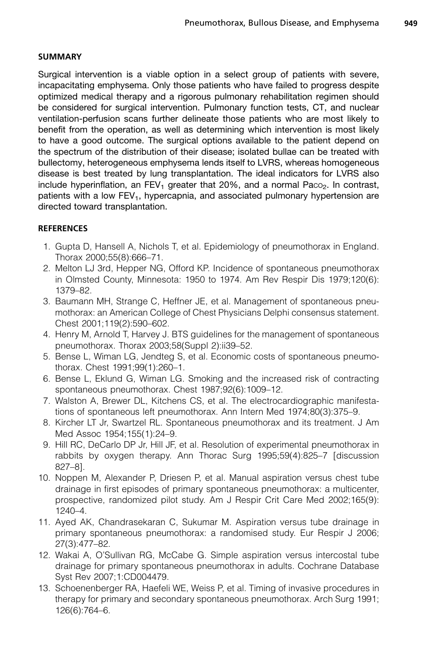## <span id="page-14-0"></span>SUMMARY

Surgical intervention is a viable option in a select group of patients with severe, incapacitating emphysema. Only those patients who have failed to progress despite optimized medical therapy and a rigorous pulmonary rehabilitation regimen should be considered for surgical intervention. Pulmonary function tests, CT, and nuclear ventilation-perfusion scans further delineate those patients who are most likely to benefit from the operation, as well as determining which intervention is most likely to have a good outcome. The surgical options available to the patient depend on the spectrum of the distribution of their disease; isolated bullae can be treated with bullectomy, heterogeneous emphysema lends itself to LVRS, whereas homogeneous disease is best treated by lung transplantation. The ideal indicators for LVRS also include hyperinflation, an FEV<sub>1</sub> greater that 20%, and a normal Paco<sub>2</sub>. In contrast, patients with a low  $FEV<sub>1</sub>$ , hypercapnia, and associated pulmonary hypertension are directed toward transplantation.

# **REFERENCES**

- 1. Gupta D, Hansell A, Nichols T, et al. Epidemiology of pneumothorax in England. Thorax 2000;55(8):666–71.
- 2. Melton LJ 3rd, Hepper NG, Offord KP. Incidence of spontaneous pneumothorax in Olmsted County, Minnesota: 1950 to 1974. Am Rev Respir Dis 1979;120(6): 1379–82.
- 3. Baumann MH, Strange C, Heffner JE, et al. Management of spontaneous pneumothorax: an American College of Chest Physicians Delphi consensus statement. Chest 2001;119(2):590–602.
- 4. Henry M, Arnold T, Harvey J. BTS guidelines for the management of spontaneous pneumothorax. Thorax 2003;58(Suppl 2):ii39–52.
- 5. Bense L, Wiman LG, Jendteg S, et al. Economic costs of spontaneous pneumothorax. Chest 1991;99(1):260–1.
- 6. Bense L, Eklund G, Wiman LG. Smoking and the increased risk of contracting spontaneous pneumothorax. Chest 1987;92(6):1009–12.
- 7. Walston A, Brewer DL, Kitchens CS, et al. The electrocardiographic manifestations of spontaneous left pneumothorax. Ann Intern Med 1974;80(3):375–9.
- 8. Kircher LT Jr, Swartzel RL. Spontaneous pneumothorax and its treatment. J Am Med Assoc 1954;155(1):24–9.
- 9. Hill RC, DeCarlo DP Jr, Hill JF, et al. Resolution of experimental pneumothorax in rabbits by oxygen therapy. Ann Thorac Surg 1995;59(4):825–7 [discussion 827–8].
- 10. Noppen M, Alexander P, Driesen P, et al. Manual aspiration versus chest tube drainage in first episodes of primary spontaneous pneumothorax: a multicenter, prospective, randomized pilot study. Am J Respir Crit Care Med 2002;165(9): 1240–4.
- 11. Ayed AK, Chandrasekaran C, Sukumar M. Aspiration versus tube drainage in primary spontaneous pneumothorax: a randomised study. Eur Respir J 2006; 27(3):477–82.
- 12. Wakai A, O'Sullivan RG, McCabe G. Simple aspiration versus intercostal tube drainage for primary spontaneous pneumothorax in adults. Cochrane Database Syst Rev 2007;1:CD004479.
- 13. Schoenenberger RA, Haefeli WE, Weiss P, et al. Timing of invasive procedures in therapy for primary and secondary spontaneous pneumothorax. Arch Surg 1991; 126(6):764–6.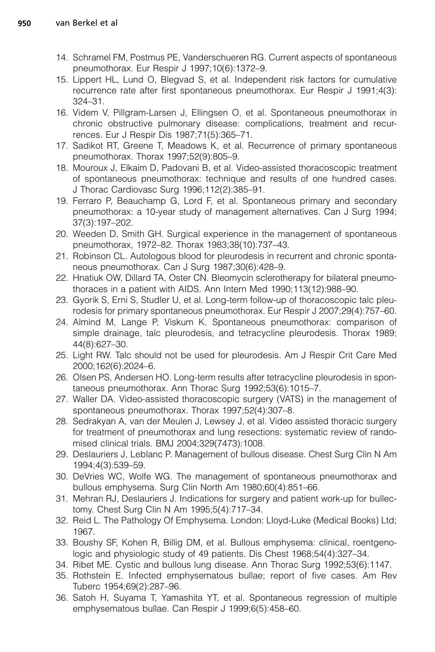- <span id="page-15-0"></span>14. Schramel FM, Postmus PE, Vanderschueren RG. Current aspects of spontaneous pneumothorax. Eur Respir J 1997;10(6):1372–9.
- 15. Lippert HL, Lund O, Blegvad S, et al. Independent risk factors for cumulative recurrence rate after first spontaneous pneumothorax. Eur Respir J 1991;4(3): 324–31.
- 16. Videm V, Pillgram-Larsen J, Ellingsen O, et al. Spontaneous pneumothorax in chronic obstructive pulmonary disease: complications, treatment and recurrences. Eur J Respir Dis 1987;71(5):365–71.
- 17. Sadikot RT, Greene T, Meadows K, et al. Recurrence of primary spontaneous pneumothorax. Thorax 1997;52(9):805–9.
- 18. Mouroux J, Elkaim D, Padovani B, et al. Video-assisted thoracoscopic treatment of spontaneous pneumothorax: technique and results of one hundred cases. J Thorac Cardiovasc Surg 1996;112(2):385–91.
- 19. Ferraro P, Beauchamp G, Lord F, et al. Spontaneous primary and secondary pneumothorax: a 10-year study of management alternatives. Can J Surg 1994; 37(3):197–202.
- 20. Weeden D, Smith GH. Surgical experience in the management of spontaneous pneumothorax, 1972–82. Thorax 1983;38(10):737–43.
- 21. Robinson CL. Autologous blood for pleurodesis in recurrent and chronic spontaneous pneumothorax. Can J Surg 1987;30(6):428–9.
- 22. Hnatiuk OW, Dillard TA, Oster CN. Bleomycin sclerotherapy for bilateral pneumothoraces in a patient with AIDS. Ann Intern Med 1990;113(12):988–90.
- 23. Gyorik S, Erni S, Studler U, et al. Long-term follow-up of thoracoscopic talc pleurodesis for primary spontaneous pneumothorax. Eur Respir J 2007;29(4):757–60.
- 24. Almind M, Lange P, Viskum K. Spontaneous pneumothorax: comparison of simple drainage, talc pleurodesis, and tetracycline pleurodesis. Thorax 1989; 44(8):627–30.
- 25. Light RW. Talc should not be used for pleurodesis. Am J Respir Crit Care Med 2000;162(6):2024–6.
- 26. Olsen PS, Andersen HO. Long-term results after tetracycline pleurodesis in spontaneous pneumothorax. Ann Thorac Surg 1992;53(6):1015–7.
- 27. Waller DA. Video-assisted thoracoscopic surgery (VATS) in the management of spontaneous pneumothorax. Thorax 1997;52(4):307–8.
- 28. Sedrakyan A, van der Meulen J, Lewsey J, et al. Video assisted thoracic surgery for treatment of pneumothorax and lung resections: systematic review of randomised clinical trials. BMJ 2004;329(7473):1008.
- 29. Deslauriers J, Leblanc P. Management of bullous disease. Chest Surg Clin N Am 1994;4(3):539–59.
- 30. DeVries WC, Wolfe WG. The management of spontaneous pneumothorax and bullous emphysema. Surg Clin North Am 1980;60(4):851–66.
- 31. Mehran RJ, Deslauriers J. Indications for surgery and patient work-up for bullectomy. Chest Surg Clin N Am 1995;5(4):717–34.
- 32. Reid L. The Pathology Of Emphysema. London: Lloyd-Luke (Medical Books) Ltd; 1967.
- 33. Boushy SF, Kohen R, Billig DM, et al. Bullous emphysema: clinical, roentgenologic and physiologic study of 49 patients. Dis Chest 1968;54(4):327–34.
- 34. Ribet ME. Cystic and bullous lung disease. Ann Thorac Surg 1992;53(6):1147.
- 35. Rothstein E. Infected emphysematous bullae; report of five cases. Am Rev Tuberc 1954;69(2):287–96.
- 36. Satoh H, Suyama T, Yamashita YT, et al. Spontaneous regression of multiple emphysematous bullae. Can Respir J 1999;6(5):458–60.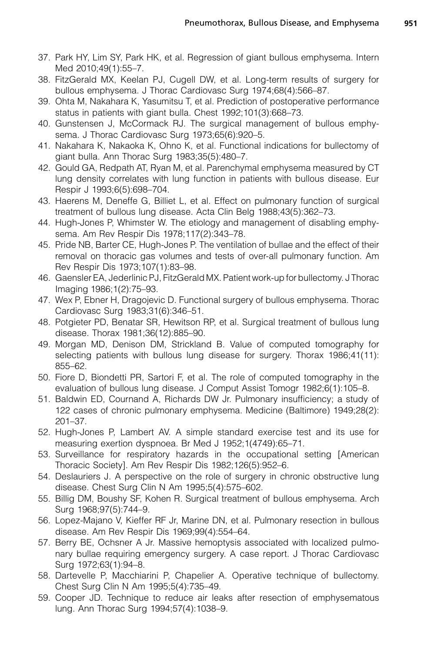- <span id="page-16-0"></span>37. Park HY, Lim SY, Park HK, et al. Regression of giant bullous emphysema. Intern Med 2010;49(1):55–7.
- 38. FitzGerald MX, Keelan PJ, Cugell DW, et al. Long-term results of surgery for bullous emphysema. J Thorac Cardiovasc Surg 1974;68(4):566–87.
- 39. Ohta M, Nakahara K, Yasumitsu T, et al. Prediction of postoperative performance status in patients with giant bulla. Chest 1992;101(3):668–73.
- 40. Gunstensen J, McCormack RJ. The surgical management of bullous emphysema. J Thorac Cardiovasc Surg 1973;65(6):920–5.
- 41. Nakahara K, Nakaoka K, Ohno K, et al. Functional indications for bullectomy of giant bulla. Ann Thorac Surg 1983;35(5):480–7.
- 42. Gould GA, Redpath AT, Ryan M, et al. Parenchymal emphysema measured by CT lung density correlates with lung function in patients with bullous disease. Eur Respir J 1993;6(5):698–704.
- 43. Haerens M, Deneffe G, Billiet L, et al. Effect on pulmonary function of surgical treatment of bullous lung disease. Acta Clin Belg 1988;43(5):362–73.
- 44. Hugh-Jones P, Whimster W. The etiology and management of disabling emphysema. Am Rev Respir Dis 1978;117(2):343–78.
- 45. Pride NB, Barter CE, Hugh-Jones P. The ventilation of bullae and the effect of their removal on thoracic gas volumes and tests of over-all pulmonary function. Am Rev Respir Dis 1973;107(1):83–98.
- 46. Gaensler EA, Jederlinic PJ, FitzGerald MX. Patient work-up for bullectomy. J Thorac Imaging 1986;1(2):75–93.
- 47. Wex P, Ebner H, Dragojevic D. Functional surgery of bullous emphysema. Thorac Cardiovasc Surg 1983;31(6):346–51.
- 48. Potgieter PD, Benatar SR, Hewitson RP, et al. Surgical treatment of bullous lung disease. Thorax 1981;36(12):885–90.
- 49. Morgan MD, Denison DM, Strickland B. Value of computed tomography for selecting patients with bullous lung disease for surgery. Thorax 1986;41(11): 855–62.
- 50. Fiore D, Biondetti PR, Sartori F, et al. The role of computed tomography in the evaluation of bullous lung disease. J Comput Assist Tomogr 1982;6(1):105–8.
- 51. Baldwin ED, Cournand A, Richards DW Jr. Pulmonary insufficiency; a study of 122 cases of chronic pulmonary emphysema. Medicine (Baltimore) 1949;28(2): 201–37.
- 52. Hugh-Jones P, Lambert AV. A simple standard exercise test and its use for measuring exertion dyspnoea. Br Med J 1952;1(4749):65–71.
- 53. Surveillance for respiratory hazards in the occupational setting [American Thoracic Society]. Am Rev Respir Dis 1982;126(5):952–6.
- 54. Deslauriers J. A perspective on the role of surgery in chronic obstructive lung disease. Chest Surg Clin N Am 1995;5(4):575–602.
- 55. Billig DM, Boushy SF, Kohen R. Surgical treatment of bullous emphysema. Arch Surg 1968;97(5):744–9.
- 56. Lopez-Majano V, Kieffer RF Jr, Marine DN, et al. Pulmonary resection in bullous disease. Am Rev Respir Dis 1969;99(4):554–64.
- 57. Berry BE, Ochsner A Jr. Massive hemoptysis associated with localized pulmonary bullae requiring emergency surgery. A case report. J Thorac Cardiovasc Surg 1972;63(1):94–8.
- 58. Dartevelle P, Macchiarini P, Chapelier A. Operative technique of bullectomy. Chest Surg Clin N Am 1995;5(4):735–49.
- 59. Cooper JD. Technique to reduce air leaks after resection of emphysematous lung. Ann Thorac Surg 1994;57(4):1038–9.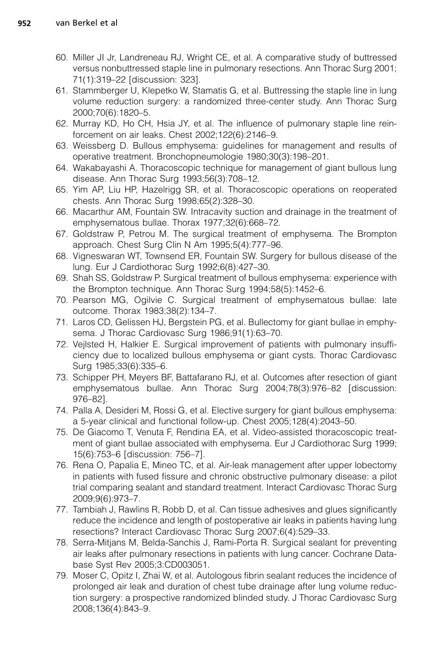- <span id="page-17-0"></span>60. Miller JI Jr, Landreneau RJ, Wright CE, et al. A comparative study of buttressed versus nonbuttressed staple line in pulmonary resections. Ann Thorac Surg 2001; 71(1):319–22 [discussion: 323].
- 61. Stammberger U, Klepetko W, Stamatis G, et al. Buttressing the staple line in lung volume reduction surgery: a randomized three-center study. Ann Thorac Surg 2000;70(6):1820–5.
- 62. Murray KD, Ho CH, Hsia JY, et al. The influence of pulmonary staple line reinforcement on air leaks. Chest 2002;122(6):2146–9.
- 63. Weissberg D. Bullous emphysema: guidelines for management and results of operative treatment. Bronchopneumologie 1980;30(3):198–201.
- 64. Wakabayashi A. Thoracoscopic technique for management of giant bullous lung disease. Ann Thorac Surg 1993;56(3):708–12.
- 65. Yim AP, Liu HP, Hazelrigg SR, et al. Thoracoscopic operations on reoperated chests. Ann Thorac Surg 1998;65(2):328–30.
- 66. Macarthur AM, Fountain SW. Intracavity suction and drainage in the treatment of emphysematous bullae. Thorax 1977;32(6):668–72.
- 67. Goldstraw P, Petrou M. The surgical treatment of emphysema. The Brompton approach. Chest Surg Clin N Am 1995;5(4):777–96.
- 68. Vigneswaran WT, Townsend ER, Fountain SW. Surgery for bullous disease of the lung. Eur J Cardiothorac Surg 1992;6(8):427–30.
- 69. Shah SS, Goldstraw P. Surgical treatment of bullous emphysema: experience with the Brompton technique. Ann Thorac Surg 1994;58(5):1452–6.
- 70. Pearson MG, Ogilvie C. Surgical treatment of emphysematous bullae: late outcome. Thorax 1983;38(2):134–7.
- 71. Laros CD, Gelissen HJ, Bergstein PG, et al. Bullectomy for giant bullae in emphysema. J Thorac Cardiovasc Surg 1986;91(1):63–70.
- 72. Vejlsted H, Halkier E. Surgical improvement of patients with pulmonary insufficiency due to localized bullous emphysema or giant cysts. Thorac Cardiovasc Surg 1985;33(6):335–6.
- 73. Schipper PH, Meyers BF, Battafarano RJ, et al. Outcomes after resection of giant emphysematous bullae. Ann Thorac Surg 2004;78(3):976–82 [discussion: 976–82].
- 74. Palla A, Desideri M, Rossi G, et al. Elective surgery for giant bullous emphysema: a 5-year clinical and functional follow-up. Chest 2005;128(4):2043–50.
- 75. De Giacomo T, Venuta F, Rendina EA, et al. Video-assisted thoracoscopic treatment of giant bullae associated with emphysema. Eur J Cardiothorac Surg 1999; 15(6):753–6 [discussion: 756–7].
- 76. Rena O, Papalia E, Mineo TC, et al. Air-leak management after upper lobectomy in patients with fused fissure and chronic obstructive pulmonary disease: a pilot trial comparing sealant and standard treatment. Interact Cardiovasc Thorac Surg 2009;9(6):973–7.
- 77. Tambiah J, Rawlins R, Robb D, et al. Can tissue adhesives and glues significantly reduce the incidence and length of postoperative air leaks in patients having lung resections? Interact Cardiovasc Thorac Surg 2007;6(4):529–33.
- 78. Serra-Mitjans M, Belda-Sanchis J, Rami-Porta R. Surgical sealant for preventing air leaks after pulmonary resections in patients with lung cancer. Cochrane Database Syst Rev 2005;3:CD003051.
- 79. Moser C, Opitz I, Zhai W, et al. Autologous fibrin sealant reduces the incidence of prolonged air leak and duration of chest tube drainage after lung volume reduction surgery: a prospective randomized blinded study. J Thorac Cardiovasc Surg 2008;136(4):843–9.